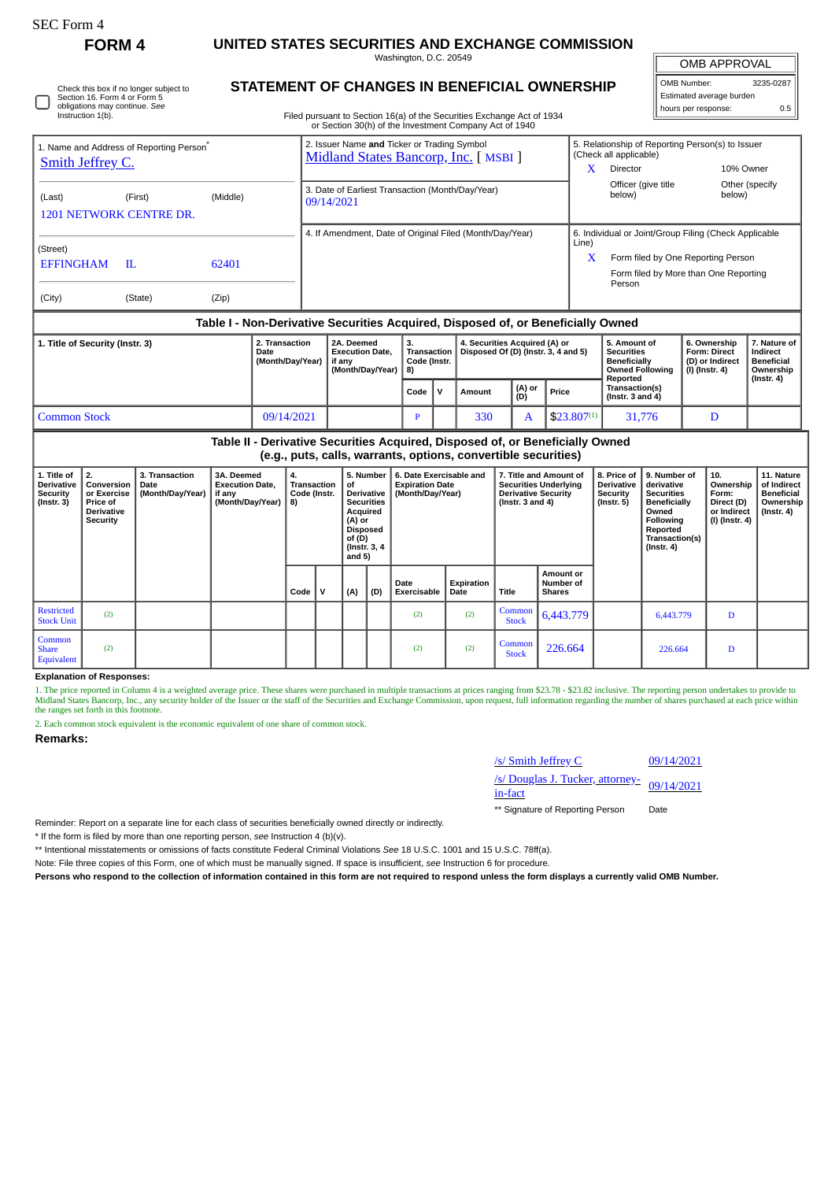| ،FC Form |
|----------|
|----------|

∩

Check this box if no longer subject to Section 16. Form 4 or Form 5 obligations may continue. *See* Instruction 1(b).

**FORM 4 UNITED STATES SECURITIES AND EXCHANGE COMMISSION**

Washington, D.C. 20549 **STATEMENT OF CHANGES IN BENEFICIAL OWNERSHIP** OMB APPROVAL

| OMB Number:              | 3235-0287 |
|--------------------------|-----------|
| Estimated average burden |           |
| hours per response:      | 0.5       |

Filed pursuant to Section 16(a) of the Securities Exchange Act of 1934 or Section 30(h) of the Investment Company Act of 1940

|                                                                                 |                                                                              |                                                   |                                                                    |                                                                                      |                                                                    | or Section 30(h) of the Investment Company Act of 1940                                                                                                                                                                                                                                                          |                                                                                 |               |     |   |                                                                  |                                                                                                |                                         |                                                                          |                                                                                 |                                                            |                  |
|---------------------------------------------------------------------------------|------------------------------------------------------------------------------|---------------------------------------------------|--------------------------------------------------------------------|--------------------------------------------------------------------------------------|--------------------------------------------------------------------|-----------------------------------------------------------------------------------------------------------------------------------------------------------------------------------------------------------------------------------------------------------------------------------------------------------------|---------------------------------------------------------------------------------|---------------|-----|---|------------------------------------------------------------------|------------------------------------------------------------------------------------------------|-----------------------------------------|--------------------------------------------------------------------------|---------------------------------------------------------------------------------|------------------------------------------------------------|------------------|
| 1. Name and Address of Reporting Person <sup>®</sup><br><b>Smith Jeffrey C.</b> |                                                                              |                                                   |                                                                    | 2. Issuer Name and Ticker or Trading Symbol<br>Midland States Bancorp, Inc. [ MSBI ] |                                                                    |                                                                                                                                                                                                                                                                                                                 |                                                                                 |               |     |   |                                                                  | 5. Relationship of Reporting Person(s) to Issuer<br>(Check all applicable)                     |                                         |                                                                          |                                                                                 |                                                            |                  |
|                                                                                 |                                                                              |                                                   |                                                                    |                                                                                      |                                                                    |                                                                                                                                                                                                                                                                                                                 |                                                                                 | X<br>Director |     |   | 10% Owner                                                        |                                                                                                |                                         |                                                                          |                                                                                 |                                                            |                  |
| (Last)                                                                          |                                                                              | (First)<br><b>1201 NETWORK CENTRE DR.</b>         | (Middle)                                                           |                                                                                      |                                                                    | 3. Date of Earliest Transaction (Month/Day/Year)<br>09/14/2021                                                                                                                                                                                                                                                  |                                                                                 |               |     |   |                                                                  |                                                                                                | below)                                  | Officer (give title                                                      |                                                                                 | Other (specify<br>below)                                   |                  |
|                                                                                 |                                                                              |                                                   |                                                                    | 4. If Amendment, Date of Original Filed (Month/Day/Year)                             |                                                                    |                                                                                                                                                                                                                                                                                                                 |                                                                                 |               |     |   |                                                                  | 6. Individual or Joint/Group Filing (Check Applicable<br>Line)                                 |                                         |                                                                          |                                                                                 |                                                            |                  |
| (Street)<br><b>EFFINGHAM</b><br>62401<br>H.                                     |                                                                              |                                                   |                                                                    |                                                                                      |                                                                    |                                                                                                                                                                                                                                                                                                                 |                                                                                 |               |     |   |                                                                  |                                                                                                |                                         | Form filed by One Reporting Person<br>X                                  |                                                                                 |                                                            |                  |
|                                                                                 |                                                                              |                                                   |                                                                    |                                                                                      |                                                                    |                                                                                                                                                                                                                                                                                                                 |                                                                                 |               |     |   |                                                                  |                                                                                                |                                         | Person                                                                   |                                                                                 | Form filed by More than One Reporting                      |                  |
| (City)                                                                          |                                                                              | (State)                                           | (Zip)                                                              |                                                                                      |                                                                    |                                                                                                                                                                                                                                                                                                                 |                                                                                 |               |     |   |                                                                  |                                                                                                |                                         |                                                                          |                                                                                 |                                                            |                  |
|                                                                                 |                                                                              |                                                   |                                                                    |                                                                                      |                                                                    | Table I - Non-Derivative Securities Acquired, Disposed of, or Beneficially Owned                                                                                                                                                                                                                                |                                                                                 |               |     |   |                                                                  |                                                                                                |                                         |                                                                          |                                                                                 |                                                            |                  |
| 1. Title of Security (Instr. 3)<br>2. Transaction<br>Date<br>(Month/Day/Year)   |                                                                              |                                                   |                                                                    |                                                                                      | 2A. Deemed<br><b>Execution Date,</b><br>if any<br>(Month/Day/Year) |                                                                                                                                                                                                                                                                                                                 | 3.<br>4. Securities Acquired (A) or<br><b>Transaction</b><br>Code (Instr.<br>8) |               |     |   | Disposed Of (D) (Instr. 3, 4 and 5)                              | 5. Amount of<br><b>Securities</b><br><b>Beneficially</b><br><b>Owned Following</b><br>Reported |                                         | 6. Ownership<br><b>Form: Direct</b><br>(D) or Indirect<br>(I) (Instr. 4) |                                                                                 | 7. Nature of<br>Indirect<br><b>Beneficial</b><br>Ownership |                  |
|                                                                                 |                                                                              |                                                   |                                                                    |                                                                                      |                                                                    |                                                                                                                                                                                                                                                                                                                 | (A) or<br>(D)<br>$\mathsf{v}$<br>Code<br>Amount                                 |               |     |   |                                                                  | Price                                                                                          | Transaction(s)<br>(Instr. $3$ and $4$ ) |                                                                          |                                                                                 |                                                            | $($ Instr. 4 $)$ |
| <b>Common Stock</b><br>09/14/2021                                               |                                                                              |                                                   |                                                                    |                                                                                      |                                                                    |                                                                                                                                                                                                                                                                                                                 | P                                                                               |               | 330 | A |                                                                  | $$23.807^{(1)}$                                                                                |                                         | 31,776                                                                   |                                                                                 | D                                                          |                  |
|                                                                                 |                                                                              |                                                   |                                                                    |                                                                                      |                                                                    | Table II - Derivative Securities Acquired, Disposed of, or Beneficially Owned<br>(e.g., puts, calls, warrants, options, convertible securities)                                                                                                                                                                 |                                                                                 |               |     |   |                                                                  |                                                                                                |                                         |                                                                          |                                                                                 |                                                            |                  |
| 1. Title of<br><b>Derivative</b><br><b>Security</b><br>$($ Instr. 3 $)$         | 2.<br>Conversion<br>or Exercise<br>Price of<br><b>Derivative</b><br>Security | 3. Transaction<br><b>Date</b><br>(Month/Day/Year) | 3A. Deemed<br><b>Execution Date,</b><br>if any<br>(Month/Day/Year) | 4.<br>8)                                                                             |                                                                    | 6. Date Exercisable and<br>5. Number<br>7. Title and Amount of<br><b>Transaction</b><br>of<br><b>Expiration Date</b><br><b>Securities Underlying</b><br><b>Derivative Security</b><br>Code (Instr.<br><b>Derivative</b><br>(Month/Day/Year)<br><b>Securities</b><br>(Instr. $3$ and $4$ )<br>Acquired<br>(A) or |                                                                                 |               |     |   | 8. Price of<br><b>Derivative</b><br>Security<br>$($ Instr. 5 $)$ | 9. Number of<br>derivative<br><b>Securities</b><br><b>Beneficially</b><br>Owned<br>Following   |                                         | 10.<br>Ownership<br>Form:<br>Direct (D)<br>or Indirect<br>(I) (Instr. 4) | 11. Nature<br>of Indirect<br><b>Beneficial</b><br>Ownership<br>$($ lnstr. 4 $)$ |                                                            |                  |

|                                      | <b>Security</b> |  |      |              | ייט (ראן ו<br><b>Disposed</b><br>of (D)<br>and $5)$ | (Instr. 3, 4) |                     |                    |                        |                                                  | <b>FUILUWIIIU</b><br>∣ Reported<br>Transaction(s)<br>  (Instr. 4) | (!) (!!!จแ. <del>4</del> ) |  |
|--------------------------------------|-----------------|--|------|--------------|-----------------------------------------------------|---------------|---------------------|--------------------|------------------------|--------------------------------------------------|-------------------------------------------------------------------|----------------------------|--|
|                                      |                 |  | Code | $\mathbf{v}$ | (A)                                                 | (D)           | Date<br>Exercisable | Expiration<br>Date | Title                  | <b>Amount or</b><br>l Number of<br><b>Shares</b> |                                                                   |                            |  |
| Restricted<br>Stock Unit             | (2)             |  |      |              |                                                     |               | (2)                 | (2)                | <b>Stock</b>           | $\int_{\text{Coul}}^{\text{Common}}  6,443.779 $ | 6,443.779                                                         | D                          |  |
| Common<br><b>Share</b><br>Equivalent | (2)             |  |      |              |                                                     |               | (2)                 | (2)                | Common<br><b>Stock</b> | 226.664                                          | 226.664                                                           | D                          |  |

**Explanation of Responses:**

1. The price reported in Column 4 is a weighted average price. These shares were purchased in multiple transactions at prices ranging from \$23.78 - \$23.82 inclusive. The reporting person undertakes to provide to provide to

2. Each common stock equivalent is the economic equivalent of one share of common stock.

**Remarks:**

| /s/ Smith Jeffrey C                                       | 09/14/2021 |
|-----------------------------------------------------------|------------|
| /s/ Douglas J. Tucker, attorney-<br>09/14/2021<br>in-fact |            |
| ** Signature of Reporting Person                          | Date       |

Reminder: Report on a separate line for each class of securities beneficially owned directly or indirectly.

\* If the form is filed by more than one reporting person, *see* Instruction 4 (b)(v).

\*\* Intentional misstatements or omissions of facts constitute Federal Criminal Violations *See* 18 U.S.C. 1001 and 15 U.S.C. 78ff(a).

Note: File three copies of this Form, one of which must be manually signed. If space is insufficient, *see* Instruction 6 for procedure.

**Persons who respond to the collection of information contained in this form are not required to respond unless the form displays a currently valid OMB Number.**